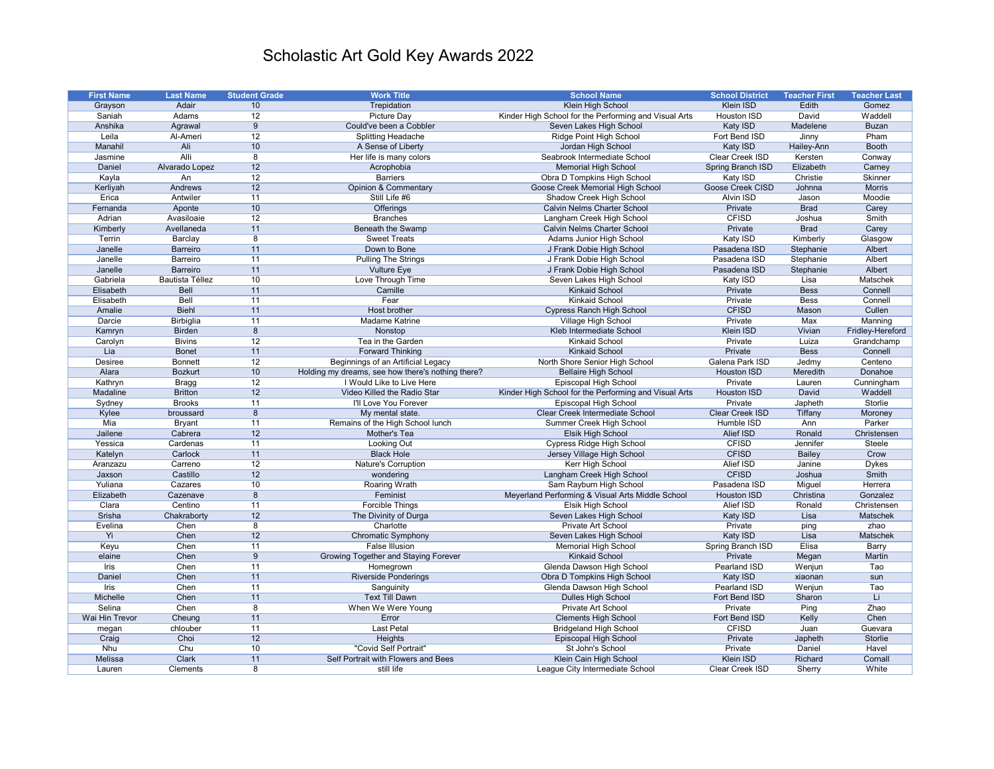| <b>First Name</b> | <b>Last Name</b>       | <b>Student Grade</b> | <b>Work Title</b>                                 | <b>School Name</b>                                    | <b>School District</b>  | <b>Teacher First</b> | <b>Teacher Last</b> |
|-------------------|------------------------|----------------------|---------------------------------------------------|-------------------------------------------------------|-------------------------|----------------------|---------------------|
| Grayson           | Adair                  | 10                   | Trepidation                                       | Klein High School                                     | <b>Klein ISD</b>        | Edith                | Gomez               |
| Saniah            | Adams                  | 12                   | <b>Picture Day</b>                                | Kinder High School for the Performing and Visual Arts | Houston ISD             | David                | Waddell             |
| Anshika           | Agrawal                | 9                    | Could've been a Cobbler                           | Seven Lakes High School                               | Katy ISD                | Madelene             | <b>Buzan</b>        |
| Leila             | Al-Ameri               | 12                   | <b>Splitting Headache</b>                         | Ridge Point High School                               | Fort Bend ISD           | Jinny                | Pham                |
| Manahil           | Ali                    | 10                   | A Sense of Liberty                                | Jordan High School                                    | Katy ISD                | Hailey-Ann           | <b>Booth</b>        |
| Jasmine           | <b>Alli</b>            | 8                    | Her life is many colors                           | Seabrook Intermediate School                          | Clear Creek ISD         | Kersten              | Conway              |
| Daniel            | Alvarado Lopez         | 12                   | Acrophobia                                        | <b>Memorial High School</b>                           | Spring Branch ISD       | Elizabeth            | Carney              |
| Kayla             | An                     | 12                   | <b>Barriers</b>                                   | Obra D Tompkins High School                           | Katy ISD                | Christie             | Skinner             |
| Kerliyah          | Andrews                | 12                   | <b>Opinion &amp; Commentary</b>                   | Goose Creek Memorial High School                      | <b>Goose Creek CISD</b> | Johnna               | <b>Morris</b>       |
| Erica             | Antwiler               | 11                   | Still Life #6                                     | Shadow Creek High School                              | Alvin ISD               | Jason                | Moodie              |
| Fernanda          | Aponte                 | 10                   | Offerings                                         | <b>Calvin Nelms Charter School</b>                    | Private                 | <b>Brad</b>          | Carey               |
| Adrian            | Avasiloaie             | 12                   | <b>Branches</b>                                   | Langham Creek High School                             | <b>CFISD</b>            | Joshua               | Smith               |
| Kimberly          | Avellaneda             | 11                   | <b>Beneath the Swamp</b>                          | <b>Calvin Nelms Charter School</b>                    | Private                 | <b>Brad</b>          | Carey               |
| Terrin            | Barclay                | 8                    | <b>Sweet Treats</b>                               | Adams Junior High School                              | Katy ISD                | Kimberly             | Glasgow             |
| Janelle           | <b>Barreiro</b>        | 11                   | Down to Bone                                      | J Frank Dobie High School                             | Pasadena ISD            | Stephanie            | Albert              |
| Janelle           | Barreiro               | 11                   | <b>Pulling The Strings</b>                        | J Frank Dobie High School                             | Pasadena ISD            | Stephanie            | Albert              |
| Janelle           | <b>Barreiro</b>        | 11                   | <b>Vulture Eye</b>                                | J Frank Dobie High School                             | Pasadena ISD            | Stephanie            | Albert              |
| Gabriela          | <b>Bautista Téllez</b> | 10                   | Love Through Time                                 | Seven Lakes High School                               | Katy ISD                | Lisa                 | Matschek            |
| Elisabeth         | <b>Bell</b>            | 11                   | Camille                                           | <b>Kinkaid School</b>                                 | Private                 | <b>Bess</b>          | Connell             |
| Elisabeth         | Bell                   | 11                   | Fear                                              | <b>Kinkaid School</b>                                 | Private                 | <b>Bess</b>          | Connell             |
| Amalie            | <b>Biehl</b>           | 11                   | Host brother                                      | <b>Cypress Ranch High School</b>                      | <b>CFISD</b>            | Mason                | Cullen              |
| Darcie            | Birbiglia              | 11                   | <b>Madame Katrine</b>                             | Village High School                                   | Private                 | Max                  | Manning             |
| Kamryn            | <b>Birden</b>          | 8                    | Nonstop                                           | Kleb Intermediate School                              | Klein ISD               | Vivian               | Fridley-Hereford    |
| Carolyn           | <b>Bivins</b>          | 12                   | Tea in the Garden                                 | Kinkaid School                                        | Private                 | Luiza                | Grandchamp          |
| Lia               | <b>Bonet</b>           | 11                   | <b>Forward Thinking</b>                           | <b>Kinkaid School</b>                                 | Private                 | <b>Bess</b>          | Connell             |
| Desiree           | <b>Bonnett</b>         | 12                   | Beginnings of an Artificial Legacy                | North Shore Senior High School                        | Galena Park ISD         | Jedmy                | Centeno             |
| Alara             | <b>Bozkurt</b>         | 10                   | Holding my dreams, see how there's nothing there? | <b>Bellaire High School</b>                           | Houston ISD             | Meredith             | Donahoe             |
| Kathryn           | <b>Bragg</b>           | 12                   | I Would Like to Live Here                         | Episcopal High School                                 | Private                 | Lauren               | Cunningham          |
| Madaline          | <b>Britton</b>         | 12                   | Video Killed the Radio Star                       | Kinder High School for the Performing and Visual Arts | <b>Houston ISD</b>      | David                | Waddell             |
| Sydney            | <b>Brooks</b>          | 11                   | <b>I'll Love You Forever</b>                      | Episcopal High School                                 | Private                 | Japheth              | Storlie             |
| Kylee             | broussard              | 8                    | My mental state.                                  | <b>Clear Creek Intermediate School</b>                | <b>Clear Creek ISD</b>  | Tiffany              | Moroney             |
| Mia               | <b>Bryant</b>          | 11                   | Remains of the High School lunch                  | Summer Creek High School                              | Humble ISD              | Ann                  | Parker              |
| Jailene           | Cabrera                | 12                   | Mother's Tea                                      | <b>Elsik High School</b>                              | Alief ISD               | Ronald               | Christensen         |
| Yessica           | Cardenas               | 11                   | Looking Out                                       | Cypress Ridge High School                             | <b>CFISD</b>            | Jennifer             | Steele              |
| Katelyn           | Carlock                | 11                   | <b>Black Hole</b>                                 | Jersey Village High School                            | <b>CFISD</b>            | <b>Bailey</b>        | Crow                |
| Aranzazu          | Carreno                | 12                   | Nature's Corruption                               | Kerr High School                                      | Alief ISD               | Janine               | <b>Dykes</b>        |
| Jaxson            | Castillo               | 12                   | wondering                                         | Langham Creek High School                             | <b>CFISD</b>            | Joshua               | Smith               |
| Yuliana           | Cazares                | 10                   | <b>Roaring Wrath</b>                              | Sam Rayburn High School                               | Pasadena ISD            | Miguel               | Herrera             |
| Elizabeth         | Cazenave               | 8                    | Feminist                                          | Meyerland Performing & Visual Arts Middle School      | <b>Houston ISD</b>      | Christina            | Gonzalez            |
| Clara             | Centino                | 11                   | <b>Forcible Things</b>                            | Elsik High School                                     | Alief ISD               | Ronald               | Christensen         |
| Srisha            | Chakraborty            | 12                   | The Divinity of Durga                             | Seven Lakes High School                               | <b>Katy ISD</b>         | Lisa                 | <b>Matschek</b>     |
| Evelina           | Chen                   | 8                    | Charlotte                                         | Private Art School                                    | Private                 | ping                 | zhao                |
| Yi                | Chen                   | 12                   | <b>Chromatic Symphony</b>                         | Seven Lakes High School                               | Katy ISD                | Lisa                 | <b>Matschek</b>     |
| Keyu              | Chen                   | 11                   | <b>False Illusion</b>                             | <b>Memorial High School</b>                           | Spring Branch ISD       | Elisa                | Barry               |
| elaine            | Chen                   | 9                    | <b>Growing Together and Staying Forever</b>       | <b>Kinkaid School</b>                                 | Private                 | Megan                | Martin              |
| Iris              | Chen                   | 11                   | Homegrown                                         | Glenda Dawson High School                             | Pearland ISD            | Wenjun               | Tao                 |
| Daniel            | Chen                   | 11                   | <b>Riverside Ponderings</b>                       | Obra D Tompkins High School                           | Katy ISD                | xiaonan              | sun                 |
| Iris              | Chen                   | 11                   | Sanguinity                                        | Glenda Dawson High School                             | Pearland ISD            | Wenjun               | Tao                 |
| Michelle          | Chen                   | 11                   | <b>Text Till Dawn</b>                             | Dulles High School                                    | Fort Bend ISD           | Sharon               | Li                  |
| Selina            | Chen                   | 8                    | When We Were Young                                | Private Art School                                    | Private                 | Ping                 | Zhao                |
| Wai Hin Trevor    | Cheung                 | 11                   | Error                                             | <b>Clements High School</b>                           | Fort Bend ISD           | Kelly                | Chen                |
| megan             | chlouber               | 11                   | Last Petal                                        | <b>Bridgeland High School</b>                         | <b>CFISD</b>            | Juan                 | Guevara             |
| Craig             | Choi                   | 12                   | Heights                                           | Episcopal High School                                 | Private                 | Japheth              | Storlie             |
| Nhu               | Chu                    | 10                   | "Covid Self Portrait"                             | St John's School                                      | Private                 | Daniel               | Havel               |
| Melissa           | <b>Clark</b>           | 11                   | Self Portrait with Flowers and Bees               | Klein Cain High School                                | <b>Klein ISD</b>        | Richard              | Cornall             |
| Lauren            | Clements               | 8                    | still life                                        | League City Intermediate School                       | Clear Creek ISD         | Sherry               | White               |
|                   |                        |                      |                                                   |                                                       |                         |                      |                     |

## Scholastic Art Gold Key Awards 2022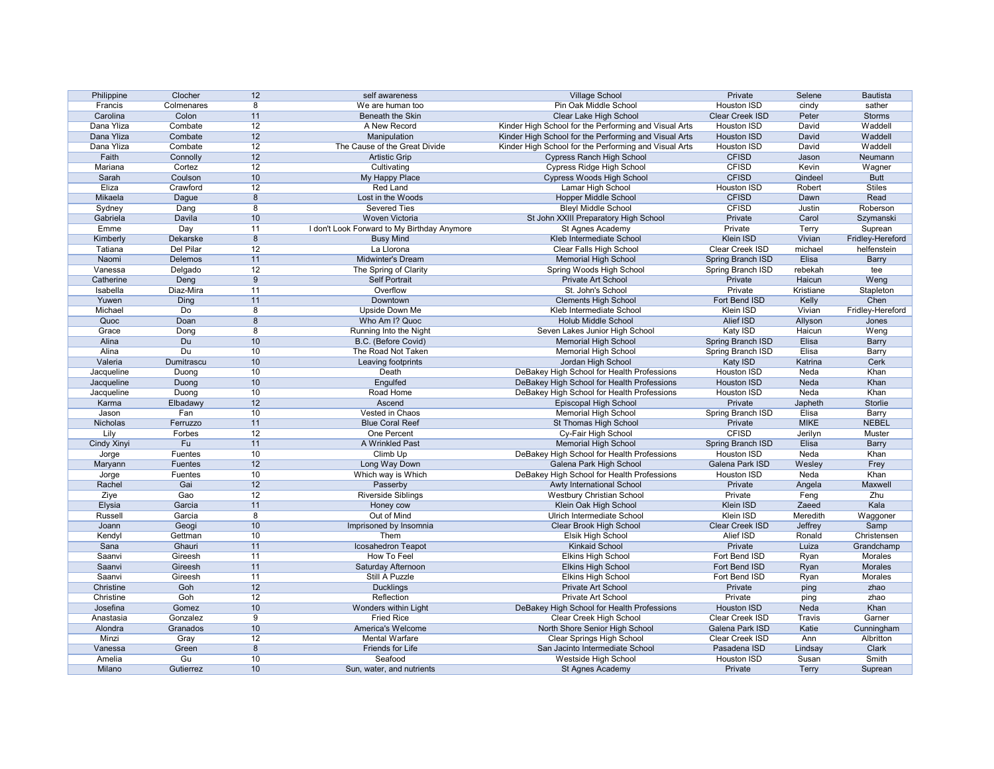| Philippine  | Clocher        | 12              | self awareness                              | <b>Village School</b>                                                 | Private                  | Selene            | <b>Bautista</b>  |
|-------------|----------------|-----------------|---------------------------------------------|-----------------------------------------------------------------------|--------------------------|-------------------|------------------|
| Francis     | Colmenares     | 8               | We are human too                            | Pin Oak Middle School                                                 | Houston ISD              | cindy             | sather           |
| Carolina    | Colon          | 11              | Beneath the Skin                            | Clear Lake High School                                                | Clear Creek ISD          | Peter             | <b>Storms</b>    |
| Dana Yliza  | Combate        | 12              | A New Record                                | Kinder High School for the Performing and Visual Arts                 | Houston ISD              | David             | Waddell          |
| Dana Yliza  | Combate        | 12              | Manipulation                                | Kinder High School for the Performing and Visual Arts                 | <b>Houston ISD</b>       | David             | Waddell          |
| Dana Yliza  | Combate        | 12              | The Cause of the Great Divide               | Kinder High School for the Performing and Visual Arts                 | Houston ISD              | David             | Waddell          |
| Faith       | Connolly       | 12              | <b>Artistic Grip</b>                        | <b>Cypress Ranch High School</b>                                      | <b>CFISD</b>             | Jason             | Neumann          |
| Mariana     | Cortez         | 12              | Cultivating                                 | Cypress Ridge High School                                             | <b>CFISD</b>             | Kevin             | Wagner           |
| Sarah       | Coulson        | 10              | My Happy Place                              | <b>Cypress Woods High School</b>                                      | <b>CFISD</b>             | Qindeel           | <b>Butt</b>      |
| Eliza       | Crawford       | 12              | Red Land                                    | Lamar High School                                                     | Houston ISD              | Robert            | <b>Stiles</b>    |
| Mikaela     | Dague          | 8               | Lost in the Woods                           | <b>Hopper Middle School</b>                                           | <b>CFISD</b>             | Dawn              | Read             |
| Sydney      | Dang           | 8               | <b>Severed Ties</b>                         | <b>Bleyl Middle School</b>                                            | <b>CFISD</b>             | Justin            | Roberson         |
| Gabriela    | Davila         | 10              | Woven Victoria                              | St John XXIII Preparatory High School                                 | Private                  | Carol             | Szymanski        |
| Emme        | Day            | 11              | I don't Look Forward to My Birthday Anymore | St Agnes Academy                                                      | Private                  | Terry             | Suprean          |
| Kimberly    | Dekarske       | 8               | <b>Busy Mind</b>                            | Kleb Intermediate School                                              | Klein ISD                | Vivian            | Fridley-Hereford |
| Tatiana     | Del Pilar      | 12              | La Llorona                                  | Clear Falls High School                                               | Clear Creek ISD          | michael           | helfenstein      |
| Naomi       | Delemos        | 11              | <b>Midwinter's Dream</b>                    | <b>Memorial High School</b>                                           | <b>Spring Branch ISD</b> | Elisa             | <b>Barry</b>     |
| Vanessa     | Delgado        | 12              | The Spring of Clarity                       | Spring Woods High School                                              | Spring Branch ISD        | rebekah           | tee              |
| Catherine   | Deng           | 9               | <b>Self Portrait</b>                        | <b>Private Art School</b>                                             | Private                  | Haicun            | Weng             |
| Isabella    | Diaz-Mira      | 11              | Overflow                                    | St. John's School                                                     | Private                  | Kristiane         | Stapleton        |
| Yuwen       | Ding           | 11              | Downtown                                    | <b>Clements High School</b>                                           | Fort Bend ISD            | Kelly             | Chen             |
| Michael     | Do             | 8               | Upside Down Me                              | Kleb Intermediate School                                              | Klein ISD                | Vivian            | Fridley-Hereford |
| Quoc        | Doan           | 8               | Who Am I? Quoc                              | <b>Holub Middle School</b>                                            | <b>Alief ISD</b>         | Allyson           | Jones            |
| Grace       | Dong           | 8               | Running Into the Night                      | Seven Lakes Junior High School                                        | Katy ISD                 | Haicun            | Weng             |
| Alina       | Du             | 10              | B.C. (Before Covid)                         | <b>Memorial High School</b>                                           | Spring Branch ISD        | Elisa             | <b>Barry</b>     |
| Alina       | Du             | 10              | The Road Not Taken                          | <b>Memorial High School</b>                                           | Spring Branch ISD        | Elisa             | Barry            |
| Valeria     | Dumitrascu     | 10              | Leaving footprints                          | Jordan High School                                                    | Katy ISD                 | Katrina           | Cerk             |
| Jacqueline  | Duong          | 10              | Death                                       | DeBakey High School for Health Professions                            | Houston ISD              | Neda              | Khan             |
| Jacqueline  | Duong          | 10              | Engulfed                                    | DeBakey High School for Health Professions                            | <b>Houston ISD</b>       | Neda              | Khan             |
| Jacqueline  | Duong          | 10              | Road Home                                   | DeBakey High School for Health Professions                            | Houston ISD              | Neda              | Khan             |
| Karma       | Elbadawy       | 12              | Ascend                                      | Episcopal High School                                                 | Private                  | Japheth           | Storlie          |
| Jason       | Fan            | 10 <sup>°</sup> | Vested in Chaos                             | <b>Memorial High School</b>                                           | Spring Branch ISD        | Elisa             | Barry            |
| Nicholas    | Ferruzzo       | 11              | <b>Blue Coral Reef</b>                      | St Thomas High School                                                 | Private                  | <b>MIKE</b>       | <b>NEBEL</b>     |
| Lily        | Forbes         | 12              | One Percent                                 | Cy-Fair High School                                                   | <b>CFISD</b>             | Jerilyn           | Muster           |
| Cindy Xinyi | Fu             | 11              | A Wrinkled Past                             | <b>Memorial High School</b>                                           | Spring Branch ISD        | Elisa             | <b>Barry</b>     |
|             | <b>Fuentes</b> | 10 <sup>°</sup> |                                             |                                                                       | Houston ISD              | Neda              | Khan             |
| Jorge       | <b>Fuentes</b> | 12              | Climb Up<br>Long Way Down                   | DeBakey High School for Health Professions<br>Galena Park High School | Galena Park ISD          | Wesley            | Frey             |
| Maryann     | Fuentes        | 10              | Which way is Which                          | DeBakey High School for Health Professions                            | Houston ISD              | Neda              | Khan             |
| Jorge       | Gai            |                 |                                             | Awty International School                                             |                          |                   |                  |
| Rachel      |                | 12              | Passerby                                    | <b>Westbury Christian School</b>                                      | Private<br>Private       | Angela            | Maxwell<br>Zhu   |
| Ziye        | Gao            | 12              | <b>Riverside Siblings</b>                   |                                                                       | Klein ISD                | Feng              |                  |
| Elysia      | Garcia         | 11<br>8         | Honey cow<br>Out of Mind                    | Klein Oak High School<br>Ulrich Intermediate School                   | Klein ISD                | Zaeed<br>Meredith | Kala             |
| Russell     | Garcia         |                 |                                             |                                                                       |                          |                   | Waggoner         |
| Joann       | Geogi          | 10              | Imprisoned by Insomnia<br>Them              | Clear Brook High School                                               | Clear Creek ISD          | Jeffrey           | Samp             |
| Kendyl      | Gettman        | 10              |                                             | Elsik High School                                                     | Alief ISD                | Ronald            | Christensen      |
| Sana        | Ghauri         | 11              | Icosahedron Teapot                          | <b>Kinkaid School</b>                                                 | Private                  | Luiza             | Grandchamp       |
| Saanvi      | Gireesh        | 11              | How To Feel                                 | <b>Elkins High School</b>                                             | Fort Bend ISD            | Ryan              | Morales          |
| Saanvi      | Gireesh        | 11              | Saturday Afternoon                          | <b>Elkins High School</b>                                             | Fort Bend ISD            | Ryan              | Morales          |
| Saanvi      | Gireesh        | 11              | Still A Puzzle                              | <b>Elkins High School</b>                                             | Fort Bend ISD            | Ryan              | Morales          |
| Christine   | Goh            | 12              | <b>Ducklings</b>                            | Private Art School                                                    | Private                  | ping              | zhao             |
| Christine   | Goh            | 12              | Reflection                                  | Private Art School                                                    | Private                  | ping              | zhao             |
| Josefina    | Gomez          | 10              | Wonders within Light                        | DeBakey High School for Health Professions                            | <b>Houston ISD</b>       | Neda              | Khan             |
| Anastasia   | Gonzalez       | 9               | <b>Fried Rice</b>                           | Clear Creek High School                                               | Clear Creek ISD          | Travis            | Garner           |
| Alondra     | Granados       | 10 <sup>°</sup> | America's Welcome                           | North Shore Senior High School                                        | Galena Park ISD          | Katie             | Cunningham       |
| Minzi       | Gray           | 12              | <b>Mental Warfare</b>                       | <b>Clear Springs High School</b>                                      | Clear Creek ISD          | Ann               | Albritton        |
| Vanessa     | Green          | 8               | Friends for Life                            | San Jacinto Intermediate School                                       | Pasadena ISD             | Lindsay           | <b>Clark</b>     |
| Amelia      | Gu             | 10              | Seafood                                     | Westside High School                                                  | Houston ISD              | Susan             | Smith            |
| Milano      | Gutierrez      | 10              | Sun, water, and nutrients                   | St Agnes Academy                                                      | Private                  | <b>Terry</b>      | Suprean          |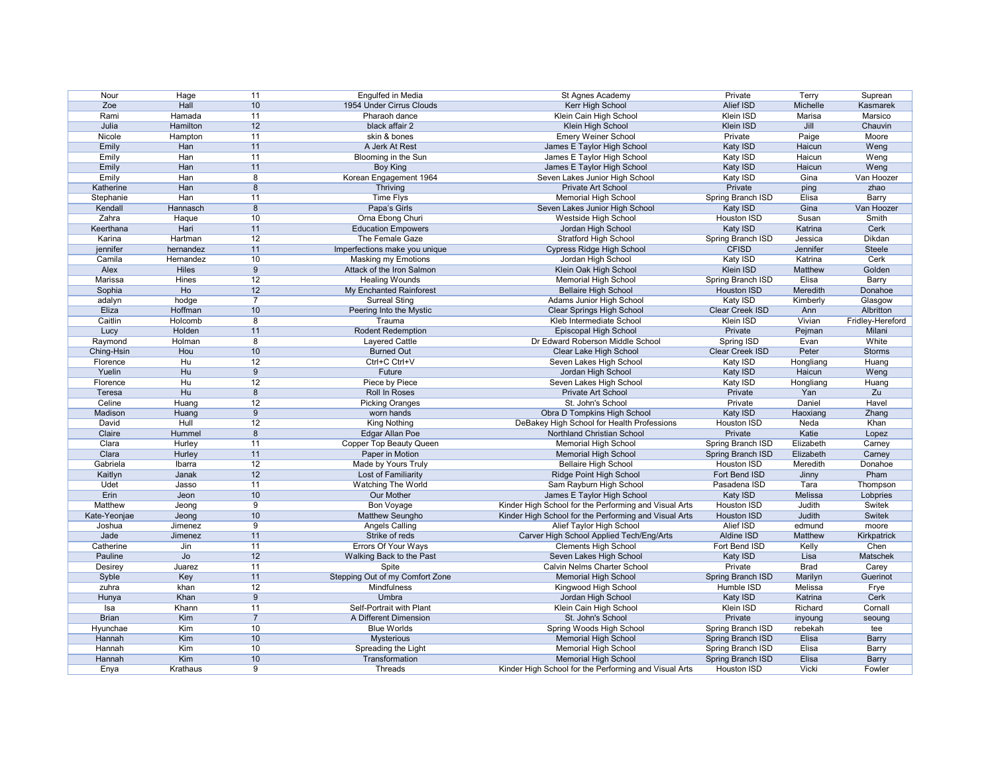| Nour         | Hage           | 11              | Engulfed in Media               | St Agnes Academy                                      | Private           | Terry       | Suprean          |
|--------------|----------------|-----------------|---------------------------------|-------------------------------------------------------|-------------------|-------------|------------------|
| Zoe          | Hall           | 10              | 1954 Under Cirrus Clouds        | Kerr High School                                      | Alief ISD         | Michelle    | Kasmarek         |
| Rami         | Hamada         | 11              | Pharaoh dance                   | Klein Cain High School                                | Klein ISD         | Marisa      | Marsico          |
| Julia        | Hamilton       | 12              | black affair 2                  | Klein High School                                     | Klein ISD         | Jill        | Chauvin          |
| Nicole       |                | 11              | skin & bones                    |                                                       | Private           |             | Moore            |
|              | Hampton        |                 |                                 | <b>Emery Weiner School</b>                            |                   | Paige       |                  |
| Emily        | Han            | 11              | A Jerk At Rest                  | James E Taylor High School                            | Katy ISD          | Haicun      | Weng             |
| Emily        | Han            | 11              | Blooming in the Sun             | James E Taylor High School                            | Katy ISD          | Haicun      | Weng             |
| Emily        | Han            | 11              | Boy King                        | James E Taylor High School                            | Katy ISD          | Haicun      | Weng             |
| Emily        | Han            | 8               | Korean Engagement 1964          | Seven Lakes Junior High School                        | Katy ISD          | Gina        | Van Hoozer       |
| Katherine    | Han            | 8               | Thriving                        | Private Art School                                    | Private           | ping        | zhao             |
| Stephanie    | Han            | 11              | Time Flys                       | <b>Memorial High School</b>                           | Spring Branch ISD | Elisa       | Barry            |
| Kendall      | Hannasch       | 8               | Papa's Girls                    | Seven Lakes Junior High School                        | Katy ISD          | Gina        | Van Hoozer       |
| Zahra        | Haque          | 10              | Orna Ebong Churi                | Westside High School                                  | Houston ISD       | Susan       | Smith            |
| Keerthana    | Hari           | 11              | <b>Education Empowers</b>       | Jordan High School                                    | Katy ISD          | Katrina     | Cerk             |
| Karina       | Hartman        | 12              | The Female Gaze                 | <b>Stratford High School</b>                          | Spring Branch ISD | Jessica     | Dikdan           |
| jennifer     | hernandez      | 11              | Imperfections make you unique   | <b>Cypress Ridge High School</b>                      | <b>CFISD</b>      | Jennifer    | Steele           |
| Camila       | Hernandez      | 10              | <b>Masking my Emotions</b>      | Jordan High School                                    | Katy ISD          | Katrina     | Cerk             |
| Alex         | Hiles          | 9               | Attack of the Iron Salmon       | Klein Oak High School                                 | Klein ISD         | Matthew     | Golden           |
| Marissa      | Hines          | 12              | <b>Healing Wounds</b>           | <b>Memorial High School</b>                           | Spring Branch ISD | Elisa       | <b>Barry</b>     |
| Sophia       | Ho             | 12              | My Enchanted Rainforest         | <b>Bellaire High School</b>                           | Houston ISD       | Meredith    | Donahoe          |
| adalyn       |                | $\overline{7}$  | <b>Surreal Sting</b>            | Adams Junior High School                              | Katy ISD          | Kimberly    |                  |
|              | hodge          |                 |                                 |                                                       |                   |             | Glasgow          |
| Eliza        | Hoffman        | 10              | Peering Into the Mystic         | <b>Clear Springs High School</b>                      | Clear Creek ISD   | Ann         | Albritton        |
| Caitlin      | Holcomb        | 8               | Trauma                          | Kleb Intermediate School                              | <b>Klein ISD</b>  | Vivian      | Fridley-Hereford |
| Lucy         | Holden         | 11              | Rodent Redemption               | Episcopal High School                                 | Private           | Pejman      | Milani           |
| Raymond      | Holman         | 8               | <b>Layered Cattle</b>           | Dr Edward Roberson Middle School                      | Spring ISD        | Evan        | White            |
| Ching-Hsin   | Hou            | 10              | <b>Burned Out</b>               | Clear Lake High School                                | Clear Creek ISD   | Peter       | <b>Storms</b>    |
| Florence     | H <sub>u</sub> | 12              | Ctrl+C Ctrl+V                   | Seven Lakes High School                               | Katy ISD          | Hongliang   | Huang            |
| Yuelin       | Hu             | 9               | Future                          | Jordan High School                                    | Katy ISD          | Haicun      | Weng             |
| Florence     | Hu             | 12              | Piece by Piece                  | Seven Lakes High School                               | Katy ISD          | Hongliang   | Huang            |
| Teresa       | Hu             | 8               | Roll In Roses                   | Private Art School                                    | Private           | Yan         | Zu               |
| Celine       | Huang          | 12              | <b>Picking Oranges</b>          | St. John's School                                     | Private           | Daniel      | Havel            |
| Madison      | Huang          | 9               | worn hands                      | Obra D Tompkins High School                           | Katy ISD          | Haoxiang    | Zhang            |
| David        | Hull           | 12              | King Nothing                    | DeBakey High School for Health Professions            | Houston ISD       | Neda        | Khan             |
| Claire       | Hummel         | 8               | <b>Edgar Allan Poe</b>          | Northland Christian School                            | Private           | Katie       | Lopez            |
| Clara        |                |                 |                                 |                                                       |                   |             |                  |
| Clara        | Hurley         | 11              | Copper Top Beauty Queen         | <b>Memorial High School</b>                           | Spring Branch ISD | Elizabeth   | Carney           |
|              | <b>Hurley</b>  | 11              | Paper in Motion                 | Memorial High School                                  | Spring Branch ISD | Elizabeth   | Carney           |
| Gabriela     | Ibarra         | 12              | Made by Yours Truly             | <b>Bellaire High School</b>                           | Houston ISD       | Meredith    | Donahoe          |
| Kaitlyn      | Janak          | 12              | Lost of Familiarity             | Ridge Point High School                               | Fort Bend ISD     | Jinny       | Pham             |
| Udet         | Jasso          | 11              | Watching The World              | Sam Rayburn High School                               | Pasadena ISD      | Tara        | Thompson         |
| Erin         | Jeon           | 10 <sup>°</sup> | Our Mother                      | James E Taylor High School                            | Katy ISD          | Melissa     | Lobpries         |
| Matthew      | Jeong          | 9               | Bon Voyage                      | Kinder High School for the Performing and Visual Arts | Houston ISD       | Judith      | Switek           |
| Kate-Yeonjae | Jeong          | 10              | Matthew Seungho                 | Kinder High School for the Performing and Visual Arts | Houston ISD       | Judith      | Switek           |
| Joshua       | Jimenez        | 9               | <b>Angels Calling</b>           | Alief Taylor High School                              | Alief ISD         | edmund      | moore            |
| Jade         | Jimenez        | 11              | Strike of reds                  | Carver High School Applied Tech/Eng/Arts              | Aldine ISD        | Matthew     | Kirkpatrick      |
| Catherine    | Jin            | 11              | Errors Of Your Ways             | <b>Clements High School</b>                           | Fort Bend ISD     | Kelly       | Chen             |
| Pauline      | Jo             | 12              | Walking Back to the Past        | Seven Lakes High School                               | Katy ISD          | Lisa        | Matschek         |
| Desirey      | Juarez         | 11              | Spite                           | Calvin Nelms Charter School                           | Private           | <b>Brad</b> | Carey            |
| Syble        | Key            | 11              | Stepping Out of my Comfort Zone | <b>Memorial High School</b>                           | Spring Branch ISD | Marilyn     | Guerinot         |
| zuhra        | khan           | 12              | Mindfulness                     | Kingwood High School                                  | Humble ISD        | Melissa     | Frye             |
| Hunya        | Khan           | 9               | <b>Umbra</b>                    | Jordan High School                                    | Katy ISD          | Katrina     | Cerk             |
|              |                |                 |                                 |                                                       |                   |             |                  |
| Isa          | Khann          | 11              | Self-Portrait with Plant        | Klein Cain High School                                | Klein ISD         | Richard     | Cornall          |
| <b>Brian</b> | Kim            | $\overline{7}$  | A Different Dimension           | St. John's School                                     | Private           | inyoung     | seoung           |
| Hyunchae     | Kim            | 10 <sup>°</sup> | <b>Blue Worlds</b>              | Spring Woods High School                              | Spring Branch ISD | rebekah     | tee              |
| Hannah       | Kim            | 10              | <b>Mysterious</b>               | <b>Memorial High School</b>                           | Spring Branch ISD | Elisa       | <b>Barry</b>     |
| Hannah       | Kim            | 10              | Spreading the Light             | <b>Memorial High School</b>                           | Spring Branch ISD | Elisa       | <b>Barry</b>     |
| Hannah       | Kim            | 10 <sup>°</sup> | Transformation                  | <b>Memorial High School</b>                           | Spring Branch ISD | Elisa       | <b>Barry</b>     |
| Enya         | Krathaus       | 9               | Threads                         | Kinder High School for the Performing and Visual Arts | Houston ISD       | Vicki       | Fowler           |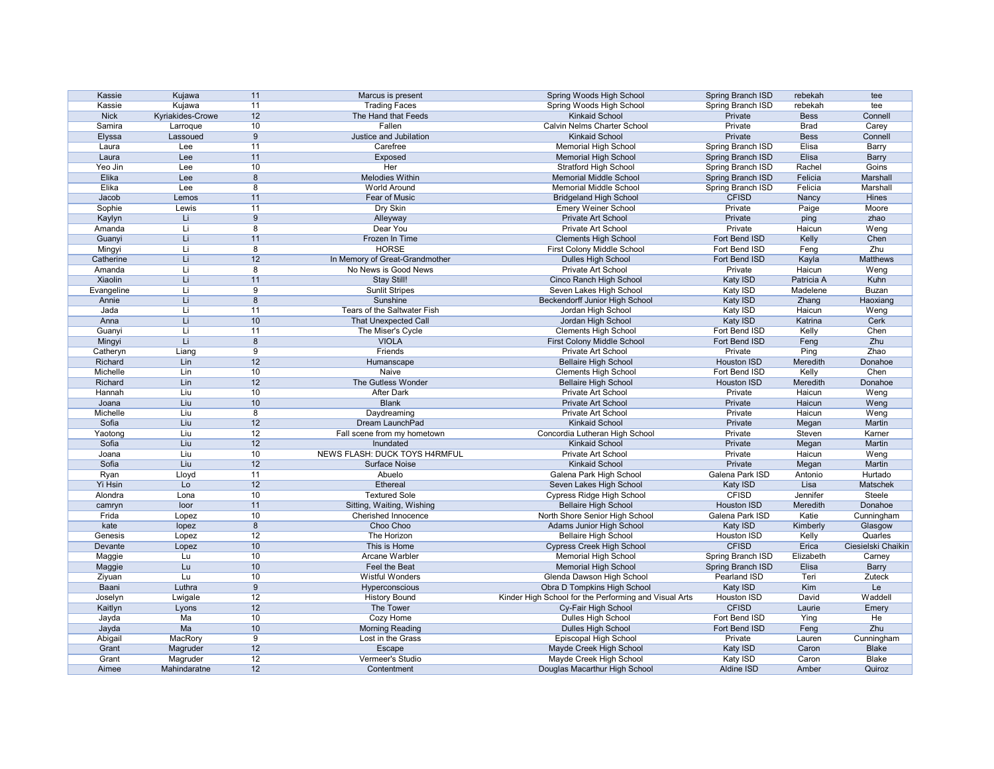| Kassie            | Kujawa           | 11              | Marcus is present              | Spring Woods High School                              | Spring Branch ISD  | rebekah     | tee                |
|-------------------|------------------|-----------------|--------------------------------|-------------------------------------------------------|--------------------|-------------|--------------------|
| Kassie            | Kujawa           | 11              | <b>Trading Faces</b>           | Spring Woods High School                              | Spring Branch ISD  | rebekah     | tee                |
| <b>Nick</b>       | Kyriakides-Crowe | 12              | The Hand that Feeds            | <b>Kinkaid School</b>                                 | Private            | <b>Bess</b> | Connell            |
| Samira            | Larroque         | 10              | Fallen                         | <b>Calvin Nelms Charter School</b>                    | Private            | <b>Brad</b> | Carey              |
| Elyssa            | Lassoued         | 9               | Justice and Jubilation         | <b>Kinkaid School</b>                                 | Private            | <b>Bess</b> | Connell            |
| Laura             | Lee              | 11              | Carefree                       | <b>Memorial High School</b>                           | Spring Branch ISD  | Elisa       | Barry              |
| Laura             | Lee              | 11              | Exposed                        | <b>Memorial High School</b>                           | Spring Branch ISD  | Elisa       | <b>Barry</b>       |
| Yeo Jin           | Lee              | 10              | <b>Her</b>                     | <b>Stratford High School</b>                          | Spring Branch ISD  | Rachel      | <b>Goins</b>       |
| Elika             | Lee              | 8               | <b>Melodies Within</b>         | <b>Memorial Middle School</b>                         | Spring Branch ISD  | Felicia     | Marshall           |
| Elika             | Lee              | 8               | <b>World Around</b>            | <b>Memorial Middle School</b>                         | Spring Branch ISD  | Felicia     | Marshall           |
| Jacob             | Lemos            | 11              | Fear of Music                  | <b>Bridgeland High School</b>                         | <b>CFISD</b>       | Nancy       | <b>Hines</b>       |
| Sophie            | Lewis            | 11              | Dry Skin                       | <b>Emery Weiner School</b>                            | Private            | Paige       | Moore              |
| Kaylyn            | Li               | 9               | Alleyway                       | Private Art School                                    | Private            | ping        | zhao               |
| Amanda            | Li               | 8               | Dear You                       | Private Art School                                    | Private            | Haicun      | Weng               |
| Guanyi            | Li               | 11              | Frozen In Time                 | <b>Clements High School</b>                           | Fort Bend ISD      | Kelly       | Chen               |
| Mingyi            | Li               | 8               | <b>HORSE</b>                   | First Colony Middle School                            | Fort Bend ISD      | Feng        | Zhu                |
| Catherine         | Li               | 12              | In Memory of Great-Grandmother | Dulles High School                                    | Fort Bend ISD      | Kayla       | Matthews           |
| Amanda            | Li               | 8               | No News is Good News           | Private Art School                                    | Private            | Haicun      | Weng               |
| Xiaolin           | Li               | 11              | <b>Stay Still!</b>             | Cinco Ranch High School                               | Katy ISD           | Patricia A  | Kuhn               |
| Evangeline        | Li               | 9               | <b>Sunlit Stripes</b>          | Seven Lakes High School                               | Katy ISD           | Madelene    | <b>Buzan</b>       |
| Annie             | Li               | 8               | Sunshine                       | <b>Beckendorff Junior High School</b>                 | Katy ISD           | Zhang       | Haoxiang           |
| Jada              | Li               | 11              | Tears of the Saltwater Fish    | Jordan High School                                    | Katy ISD           | Haicun      | Weng               |
| Anna              | Li               | 10              | <b>That Unexpected Call</b>    | Jordan High School                                    | Katy ISD           | Katrina     | Cerk               |
| Guanyi            | Li               | 11              | The Miser's Cycle              | <b>Clements High School</b>                           | Fort Bend ISD      | Kelly       | Chen               |
| Mingyi            | Li               | 8               | <b>VIOLA</b>                   | First Colony Middle School                            | Fort Bend ISD      | Feng        | Zhu                |
| Catheryn          | Liang            | 9               | Friends                        | Private Art School                                    | Private            | Ping        | Zhao               |
| Richard           | Lin              | 12              | Humanscape                     | <b>Bellaire High School</b>                           | <b>Houston ISD</b> | Meredith    | Donahoe            |
| Michelle          | Lin              | 10              | <b>Naive</b>                   | <b>Clements High School</b>                           | Fort Bend ISD      | Kelly       | Chen               |
| Richard           | Lin              | 12              | The Gutless Wonder             |                                                       | Houston ISD        | Meredith    | Donahoe            |
| Hannah            | Liu              | 10              | <b>After Dark</b>              | <b>Bellaire High School</b><br>Private Art School     | Private            | Haicun      | Weng               |
|                   | Liu              | 10              | <b>Blank</b>                   | Private Art School                                    | Private            | Haicun      |                    |
| Joana<br>Michelle |                  |                 |                                |                                                       |                    | Haicun      | Weng               |
|                   | Liu<br>Liu       | 8               | Daydreaming                    | Private Art School                                    | Private            |             | Weng               |
| Sofia             |                  | 12              | Dream LaunchPad                | <b>Kinkaid School</b>                                 | Private            | Megan       | Martin             |
| Yaotong           | Liu              | 12              | Fall scene from my hometown    | Concordia Lutheran High School                        | Private            | Steven      | Karner             |
| Sofia             | Liu              | 12              | Inundated                      | <b>Kinkaid School</b>                                 | Private            | Megan       | Martin             |
| Joana             | Liu              | 10 <sup>°</sup> | NEWS FLASH: DUCK TOYS H4RMFUL  | <b>Private Art School</b>                             | Private            | Haicun      | Weng               |
| Sofia             | Liu              | 12              | Surface Noise                  | <b>Kinkaid School</b>                                 | Private            | Megan       | Martin             |
| Ryan              | Lloyd            | 11              | Abuelo                         | Galena Park High School                               | Galena Park ISD    | Antonio     | Hurtado            |
| Yi Hsin           | Lo               | 12              | Ethereal                       | Seven Lakes High School                               | Katy ISD           | Lisa        | Matschek           |
| Alondra           | Lona             | 10              | <b>Textured Sole</b>           | Cypress Ridge High School                             | <b>CFISD</b>       | Jennifer    | Steele             |
| camryn            | loor             | 11              | Sitting, Waiting, Wishing      | <b>Bellaire High School</b>                           | Houston ISD        | Meredith    | Donahoe            |
| Frida             | Lopez            | 10              | Cherished Innocence            | North Shore Senior High School                        | Galena Park ISD    | Katie       | Cunningham         |
| kate              | lopez            | 8               | Choo Choo                      | <b>Adams Junior High School</b>                       | Katy ISD           | Kimberly    | Glasgow            |
| Genesis           | Lopez            | 12              | The Horizon                    | <b>Bellaire High School</b>                           | Houston ISD        | Kelly       | Quarles            |
| Devante           | Lopez            | 10              | This is Home                   | <b>Cypress Creek High School</b>                      | <b>CFISD</b>       | Erica       | Ciesielski Chaikin |
| Maggie            | Lu               | 10              | Arcane Warbler                 | <b>Memorial High School</b>                           | Spring Branch ISD  | Elizabeth   | Carney             |
| Maggie            | Lu               | 10              | Feel the Beat                  | <b>Memorial High School</b>                           | Spring Branch ISD  | Elisa       | <b>Barry</b>       |
| Ziyuan            | Lu               | 10              | <b>Wistful Wonders</b>         | Glenda Dawson High School                             | Pearland ISD       | Teri        | Zuteck             |
| Baani             | Luthra           | 9               | Hyperconscious                 | Obra D Tompkins High School                           | Katy ISD           | Kim         | Le                 |
| Joselyn           | Lwigale          | 12              | <b>History Bound</b>           | Kinder High School for the Performing and Visual Arts | Houston ISD        | David       | Waddell            |
| Kaitlyn           | Lyons            | 12              | The Tower                      | Cy-Fair High School                                   | <b>CFISD</b>       | Laurie      | Emery              |
| Jayda             | Ma               | 10              | Cozy Home                      | <b>Dulles High School</b>                             | Fort Bend ISD      | Ying        | He                 |
| Jayda             | Ma               | 10              | <b>Morning Reading</b>         | Dulles High School                                    | Fort Bend ISD      | Feng        | Zhu                |
| Abigail           | MacRory          | 9               | Lost in the Grass              | Episcopal High School                                 | Private            | Lauren      | Cunningham         |
| Grant             | Magruder         | 12              | Escape                         | Mayde Creek High School                               | Katy ISD           | Caron       | <b>Blake</b>       |
| Grant             | Magruder         | 12              | Vermeer's Studio               | Mayde Creek High School                               | Katy ISD           | Caron       | <b>Blake</b>       |
| Aimee             | Mahindaratne     | 12              | Contentment                    | Douglas Macarthur High School                         | Aldine ISD         | Amber       | Quiroz             |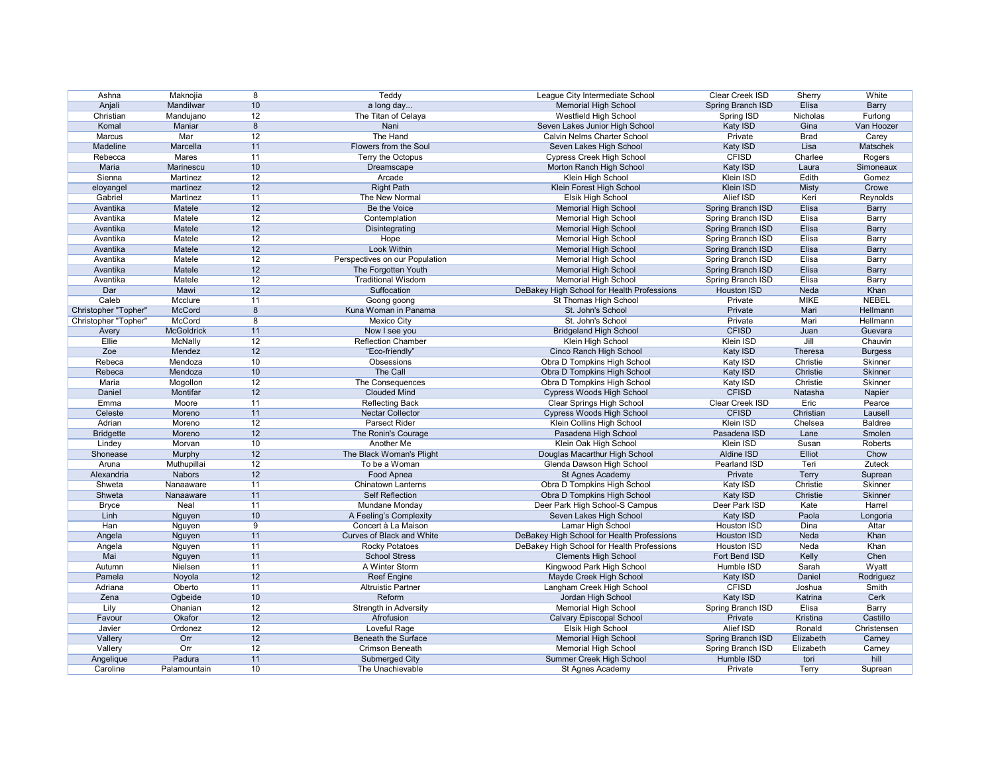| Ashna                | Maknojia          | 8  | Teddy                                                   | League City Intermediate School            | Clear Creek ISD          | Sherry       | White          |
|----------------------|-------------------|----|---------------------------------------------------------|--------------------------------------------|--------------------------|--------------|----------------|
| Anjali               | Mandilwar         | 10 | a long day                                              | <b>Memorial High School</b>                | Spring Branch ISD        | Elisa        | <b>Barry</b>   |
| Christian            | Mandujano         | 12 | The Titan of Celaya                                     | Westfield High School                      | Spring ISD               | Nicholas     | Furlong        |
| Komal                | Maniar            | 8  | Nani                                                    | Seven Lakes Junior High School             | Katy ISD                 | Gina         | Van Hoozer     |
| Marcus               | Mar               | 12 | The Hand                                                | Calvin Nelms Charter School                | Private                  | <b>Brad</b>  | Carey          |
| Madeline             | Marcella          | 11 | Flowers from the Soul                                   | Seven Lakes High School                    | Katy ISD                 | Lisa         | Matschek       |
| Rebecca              | Mares             | 11 | Terry the Octopus                                       | <b>Cypress Creek High School</b>           | <b>CFISD</b>             | Charlee      | Rogers         |
| Maria                | Marinescu         | 10 | Dreamscape                                              | Morton Ranch High School                   | Katy ISD                 | Laura        | Simoneaux      |
| Sienna               | Martinez          | 12 | Arcade                                                  | Klein High School                          | Klein ISD                | Edith        | Gomez          |
| eloyangel            | martinez          | 12 | <b>Right Path</b>                                       | Klein Forest High School                   | Klein ISD                | <b>Misty</b> | Crowe          |
| Gabriel              | Martinez          | 11 | The New Normal                                          | Elsik High School                          | Alief ISD                | Keri         | Reynolds       |
| Avantika             | Matele            | 12 | Be the Voice                                            |                                            | Spring Branch ISD        | Elisa        |                |
| Avantika             |                   | 12 |                                                         | <b>Memorial High School</b>                |                          |              | <b>Barry</b>   |
|                      | Matele            |    | Contemplation                                           | <b>Memorial High School</b>                | Spring Branch ISD        | Elisa        | Barry          |
| Avantika             | Matele            | 12 | Disintegrating                                          | <b>Memorial High School</b>                | Spring Branch ISD        | Elisa        | <b>Barry</b>   |
| Avantika             | Matele            | 12 | Hope                                                    | Memorial High School                       | Spring Branch ISD        | Elisa        | Barry          |
| Avantika             | Matele            | 12 | Look Within                                             | <b>Memorial High School</b>                | <b>Spring Branch ISD</b> | Elisa        | <b>Barry</b>   |
| Avantika             | Matele            | 12 | Perspectives on our Population                          | <b>Memorial High School</b>                | Spring Branch ISD        | Elisa        | Barry          |
| Avantika             | Matele            | 12 | The Forgotten Youth                                     | <b>Memorial High School</b>                | <b>Spring Branch ISD</b> | Elisa        | <b>Barry</b>   |
| Avantika             | Matele            | 12 | <b>Traditional Wisdom</b>                               | <b>Memorial High School</b>                | Spring Branch ISD        | Elisa        | Barry          |
| Dar                  | Mawi              | 12 | Suffocation                                             | DeBakey High School for Health Professions | <b>Houston ISD</b>       | Neda         | Khan           |
| Caleb                | Mcclure           | 11 | Goong goong                                             | St Thomas High School                      | Private                  | <b>MIKE</b>  | <b>NEBEL</b>   |
| Christopher "Topher" | McCord            | 8  | Kuna Woman in Panama                                    | St. John's School                          | Private                  | Mari         | Hellmann       |
| Christopher "Topher" | McCord            | 8  | <b>Mexico City</b>                                      | St. John's School                          | Private                  | Mari         | Hellmann       |
| Avery                | <b>McGoldrick</b> | 11 | Now I see you                                           | <b>Bridgeland High School</b>              | <b>CFISD</b>             | Juan         | Guevara        |
| Ellie                | McNally           | 12 | <b>Reflection Chamber</b>                               | Klein High School                          | Klein ISD                | Jill         | Chauvin        |
| Zoe                  | Mendez            | 12 | "Eco-friendly"                                          | Cinco Ranch High School                    | Katy ISD                 | Theresa      | <b>Burgess</b> |
| Rebeca               | Mendoza           | 10 | Obsessions                                              | Obra D Tompkins High School                | Katy ISD                 | Christie     | Skinner        |
| Rebeca               | Mendoza           | 10 | The Call                                                | Obra D Tompkins High School                | Katy ISD                 | Christie     | <b>Skinner</b> |
| Maria                | Mogollon          | 12 | The Consequences                                        | Obra D Tompkins High School                | Katy ISD                 | Christie     | Skinner        |
| Daniel               | Montifar          | 12 | <b>Clouded Mind</b>                                     | Cypress Woods High School                  | <b>CFISD</b>             | Natasha      | Napier         |
| Emma                 | Moore             | 11 | <b>Reflecting Back</b>                                  | <b>Clear Springs High School</b>           | Clear Creek ISD          | Eric         | Pearce         |
| Celeste              | Moreno            | 11 | Nectar Collector                                        | Cypress Woods High School                  | <b>CFISD</b>             | Christian    | Lausell        |
| Adrian               | Moreno            | 12 | <b>Parsect Rider</b>                                    | Klein Collins High School                  | <b>Klein ISD</b>         | Chelsea      | <b>Baldree</b> |
| <b>Bridgette</b>     | Moreno            | 12 | The Ronin's Courage                                     | Pasadena High School                       | Pasadena ISD             | Lane         | Smolen         |
| Lindey               | Morvan            | 10 | Another Me                                              | Klein Oak High School                      | Klein ISD                | Susan        | Roberts        |
| Shonease             | Murphy            | 12 | The Black Woman's Plight                                | Douglas Macarthur High School              | Aldine ISD               | Elliot       | Chow           |
| Aruna                | Muthupillai       | 12 | To be a Woman                                           | Glenda Dawson High School                  | Pearland ISD             | Teri         | Zuteck         |
| Alexandria           | <b>Nabors</b>     | 12 | Food Apnea                                              | St Agnes Academy                           | Private                  | <b>Terry</b> | Suprean        |
| Shweta               | Nanaaware         | 11 | <b>Chinatown Lanterns</b>                               | Obra D Tompkins High School                | Katy ISD                 | Christie     | Skinner        |
| Shweta               | Nanaaware         | 11 | <b>Self Reflection</b>                                  | Obra D Tompkins High School                | Katy ISD                 | Christie     | Skinner        |
|                      | Neal              | 11 | Mundane Monday                                          | Deer Park High School-S Campus             | Deer Park ISD            | Kate         | Harrel         |
| <b>Bryce</b><br>Linh |                   |    |                                                         |                                            |                          | Paola        |                |
|                      | Nguyen            | 10 | A Feeling's Complexity                                  | Seven Lakes High School                    | Katy ISD                 |              | Longoria       |
| Han                  | Nguyen            | 9  | Concert à La Maison<br><b>Curves of Black and White</b> | Lamar High School                          | Houston ISD              | Dina         | Attar          |
| Angela               | Nguyen            | 11 |                                                         | DeBakey High School for Health Professions | <b>Houston ISD</b>       | Neda         | Khan           |
| Angela               | Nguyen            | 11 | <b>Rocky Potatoes</b>                                   | DeBakey High School for Health Professions | Houston ISD              | Neda         | Khan           |
| Mai                  | Nguyen            | 11 | <b>School Stress</b>                                    | <b>Clements High School</b>                | Fort Bend ISD            | Kelly        | Chen           |
| Autumn               | Nielsen           | 11 | A Winter Storm                                          | Kingwood Park High School                  | Humble ISD               | Sarah        | Wyatt          |
| Pamela               | Noyola            | 12 | <b>Reef Engine</b>                                      | Mayde Creek High School                    | Katy ISD                 | Daniel       | Rodriguez      |
| Adriana              | Oberto            | 11 | <b>Altruistic Partner</b>                               | Langham Creek High School                  | <b>CFISD</b>             | Joshua       | Smith          |
| Zena                 | Ogbeide           | 10 | Reform                                                  | Jordan High School                         | <b>Katy ISD</b>          | Katrina      | Cerk           |
| Lily                 | Ohanian           | 12 | Strength in Adversity                                   | <b>Memorial High School</b>                | Spring Branch ISD        | Elisa        | Barry          |
| Favour               | Okafor            | 12 | Afrofusion                                              | <b>Calvary Episcopal School</b>            | Private                  | Kristina     | Castillo       |
| Javier               | Ordonez           | 12 | Loveful Rage                                            | Elsik High School                          | Alief ISD                | Ronald       | Christensen    |
| Vallery              | Orr               | 12 | <b>Beneath the Surface</b>                              | <b>Memorial High School</b>                | Spring Branch ISD        | Elizabeth    | Carney         |
| Vallery              | Orr               | 12 | Crimson Beneath                                         | <b>Memorial High School</b>                | Spring Branch ISD        | Elizabeth    | Carney         |
| Angelique            | Padura            | 11 | Submerged City                                          | Summer Creek High School                   | Humble ISD               | tori         | hill           |
| Caroline             | Palamountain      | 10 | The Unachievable                                        | St Agnes Academy                           | Private                  | Terry        | Suprean        |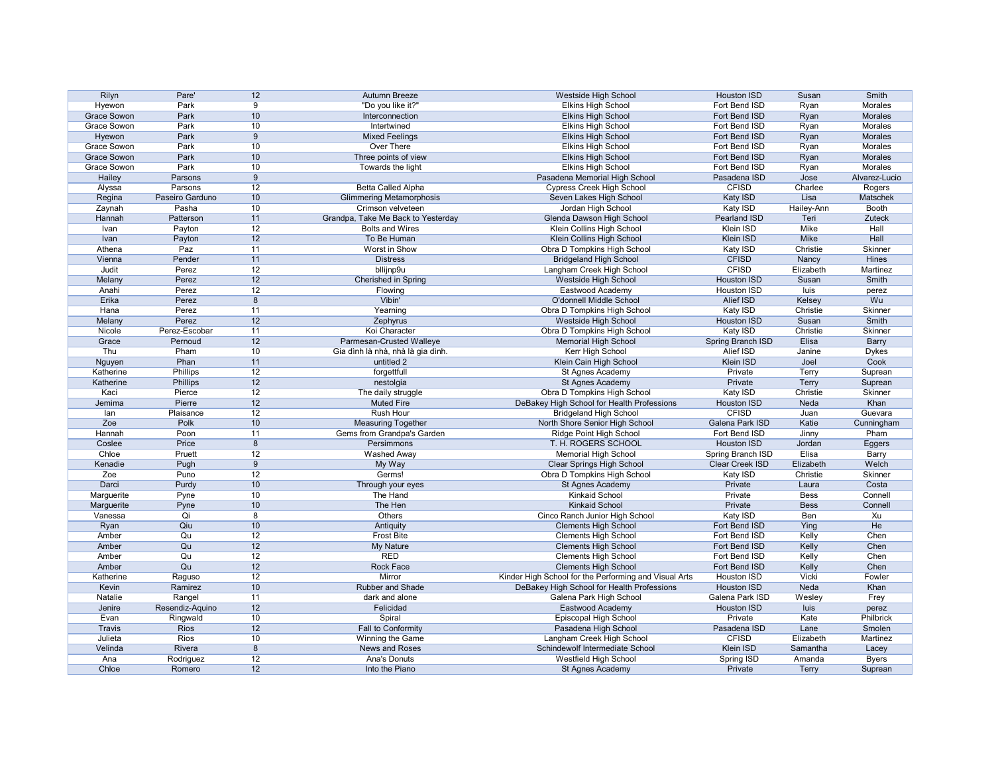| Rilyn              | Pare'           | 12              | Autumn Breeze                      | Westside High School                                  | <b>Houston ISD</b>             | Susan        | Smith          |
|--------------------|-----------------|-----------------|------------------------------------|-------------------------------------------------------|--------------------------------|--------------|----------------|
| Hyewon             | Park            | 9               | "Do you like it?"                  | <b>Elkins High School</b>                             | Fort Bend ISD                  | Ryan         | <b>Morales</b> |
| <b>Grace Sowon</b> | Park            | 10              | Interconnection                    | <b>Elkins High School</b>                             | Fort Bend ISD                  | Ryan         | <b>Morales</b> |
| Grace Sowon        | Park            | 10              | Intertwined                        | <b>Elkins High School</b>                             | Fort Bend ISD                  | Ryan         | Morales        |
| Hyewon             | Park            | 9               | <b>Mixed Feelings</b>              | <b>Elkins High School</b>                             | Fort Bend ISD                  | Ryan         | Morales        |
| Grace Sowon        | Park            | 10              | <b>Over There</b>                  | <b>Elkins High School</b>                             | Fort Bend ISD                  | Ryan         | Morales        |
| Grace Sowon        | Park            | 10              | Three points of view               | <b>Elkins High School</b>                             | Fort Bend ISD                  | Ryan         | Morales        |
| Grace Sowon        | Park            | 10              | Towards the light                  | <b>Elkins High School</b>                             | Fort Bend ISD                  | Ryan         | Morales        |
| Hailey             | Parsons         | 9               |                                    | Pasadena Memorial High School                         | Pasadena ISD                   | Jose         | Alvarez-Lucio  |
| Alyssa             | Parsons         | 12              | Betta Called Alpha                 | <b>Cypress Creek High School</b>                      | <b>CFISD</b>                   | Charlee      | Rogers         |
| Regina             | Paseiro Garduno | 10 <sup>°</sup> | <b>Glimmering Metamorphosis</b>    | Seven Lakes High School                               | Katy ISD                       | Lisa         | Matschek       |
| Zaynah             | Pasha           | 10              | Crimson velveteen                  | Jordan High School                                    | Katy ISD                       | Hailey-Ann   | Booth          |
| Hannah             | Patterson       | 11              | Grandpa, Take Me Back to Yesterday | Glenda Dawson High School                             | Pearland ISD                   | Teri         | <b>Zuteck</b>  |
| Ivan               | Payton          | 12              | <b>Bolts and Wires</b>             | Klein Collins High School                             | Klein ISD                      | Mike         | Hall           |
| Ivan               | Payton          | 12              | To Be Human                        | Klein Collins High School                             | Klein ISD                      | Mike         | Hall           |
| Athena             | Paz             | 11              | Worst in Show                      | Obra D Tompkins High School                           | Katy ISD                       | Christie     | Skinner        |
| Vienna             | Pender          | 11              | <b>Distress</b>                    | <b>Bridgeland High School</b>                         | <b>CFISD</b>                   | Nancy        | <b>Hines</b>   |
| Judit              | Perez           | 12              | bllijnp9u                          | Langham Creek High School                             | <b>CFISD</b>                   | Elizabeth    | Martinez       |
| Melany             | Perez           | 12              | <b>Cherished in Spring</b>         | Westside High School                                  | <b>Houston ISD</b>             | Susan        | Smith          |
| Anahi              | Perez           | 12              |                                    | Eastwood Academy                                      | Houston ISD                    | luis         |                |
| Erika              | Perez           | 8               | Flowing<br>Vibin'                  | O'donnell Middle School                               | Alief ISD                      | Kelsey       | perez<br>Wu    |
|                    |                 |                 |                                    |                                                       |                                |              |                |
| Hana               | Perez           | 11              | Yearning                           | Obra D Tompkins High School                           | Katy ISD<br><b>Houston ISD</b> | Christie     | Skinner        |
| Melany             | Perez           | 12              | Zephyrus                           | Westside High School                                  |                                | Susan        | Smith          |
| Nicole             | Perez-Escobar   | 11              | Koi Character                      | Obra D Tompkins High School                           | Katy ISD                       | Christie     | Skinner        |
| Grace              | Pernoud         | 12              | Parmesan-Crusted Walleye           | <b>Memorial High School</b>                           | Spring Branch ISD              | Elisa        | <b>Barry</b>   |
| Thu                | Pham            | 10 <sup>°</sup> | Gia dình là nhà, nhà là gia dình.  | Kerr High School                                      | Alief ISD                      | Janine       | <b>Dykes</b>   |
| Nguyen             | Phan            | 11              | untitled 2                         | Klein Cain High School                                | Klein ISD                      | Joel         | Cook           |
| Katherine          | <b>Phillips</b> | 12              | forgettfull                        | St Agnes Academy                                      | Private                        | Terry        | Suprean        |
| Katherine          | <b>Phillips</b> | 12              | nestolgia                          | St Agnes Academy                                      | Private                        | Terry        | Suprean        |
| Kaci               | Pierce          | 12              | The daily struggle                 | Obra D Tompkins High School                           | Katy ISD                       | Christie     | Skinner        |
| Jemima             | Pierre          | 12              | <b>Muted Fire</b>                  | DeBakey High School for Health Professions            | <b>Houston ISD</b>             | Neda         | Khan           |
| lan                | Plaisance       | 12              | <b>Rush Hour</b>                   | <b>Bridgeland High School</b>                         | <b>CFISD</b>                   | Juan         | Guevara        |
| Zoe                | Polk            | 10 <sup>°</sup> | <b>Measuring Together</b>          | North Shore Senior High School                        | Galena Park ISD                | Katie        | Cunningham     |
| Hannah             | Poon            | 11              | Gems from Grandpa's Garden         | Ridge Point High School                               | Fort Bend ISD                  | Jinny        | Pham           |
| Coslee             | Price           | 8               | Persimmons                         | T. H. ROGERS SCHOOL                                   | <b>Houston ISD</b>             | Jordan       | Eggers         |
| Chloe              | Pruett          | 12              | Washed Away                        | <b>Memorial High School</b>                           | Spring Branch ISD              | Elisa        | Barry          |
| Kenadie            | Pugh            | 9               | My Way                             | <b>Clear Springs High School</b>                      | Clear Creek ISD                | Elizabeth    | Welch          |
| Zoe                | Puno            | 12              | Germs!                             | Obra D Tompkins High School                           | Katy ISD                       | Christie     | Skinner        |
| Darci              | Purdy           | 10              | Through your eyes                  | St Agnes Academy                                      | Private                        | Laura        | Costa          |
| Marguerite         | Pyne            | 10              | The Hand                           | <b>Kinkaid School</b>                                 | Private                        | <b>Bess</b>  | Connell        |
| Marguerite         | Pyne            | 10 <sup>°</sup> | The Hen                            | <b>Kinkaid School</b>                                 | Private                        | <b>Bess</b>  | Connell        |
| Vanessa            | Qi              | 8               | Others                             | Cinco Ranch Junior High School                        | Katy ISD                       | Ben          | Xu             |
| Ryan               | Qiu             | 10              | Antiquity                          | <b>Clements High School</b>                           | Fort Bend ISD                  | Ying         | He             |
| Amber              | Qu              | 12              | <b>Frost Bite</b>                  | <b>Clements High School</b>                           | Fort Bend ISD                  | Kelly        | Chen           |
| Amber              | Qu              | 12              | My Nature                          | <b>Clements High School</b>                           | Fort Bend ISD                  | Kelly        | Chen           |
| Amber              | Qu              | 12              | <b>RED</b>                         | <b>Clements High School</b>                           | Fort Bend ISD                  | Kelly        | Chen           |
| Amber              | Qu              | 12              | Rock Face                          | <b>Clements High School</b>                           | Fort Bend ISD                  | Kelly        | Chen           |
| Katherine          | Raguso          | 12              | Mirror                             | Kinder High School for the Performing and Visual Arts | Houston ISD                    | Vicki        | Fowler         |
| Kevin              | Ramirez         | 10 <sup>°</sup> | Rubber and Shade                   | DeBakey High School for Health Professions            | Houston ISD                    | Neda         | Khan           |
| Natalie            | Rangel          | 11              | dark and alone                     | Galena Park High School                               | Galena Park ISD                | Wesley       | Frey           |
| Jenire             | Resendiz-Aquino | 12              | Felicidad                          | Eastwood Academy                                      | Houston ISD                    | luis         | perez          |
| Evan               | Ringwald        | 10 <sup>°</sup> | Spiral                             | Episcopal High School                                 | Private                        | Kate         | Philbrick      |
| <b>Travis</b>      | <b>Rios</b>     | 12              | Fall to Conformity                 | Pasadena High School                                  | Pasadena ISD                   | Lane         | Smolen         |
| Julieta            | Rios            | 10              | Winning the Game                   | Langham Creek High School                             | <b>CFISD</b>                   | Elizabeth    | Martinez       |
| Velinda            | Rivera          | 8               | News and Roses                     | Schindewolf Intermediate School                       | Klein ISD                      | Samantha     | Lacey          |
| Ana                | Rodriguez       | 12              | <b>Ana's Donuts</b>                | Westfield High School                                 | Spring ISD                     | Amanda       | <b>Byers</b>   |
| Chloe              | Romero          | 12              | Into the Piano                     | St Agnes Academy                                      | Private                        | <b>Terry</b> | Suprean        |
|                    |                 |                 |                                    |                                                       |                                |              |                |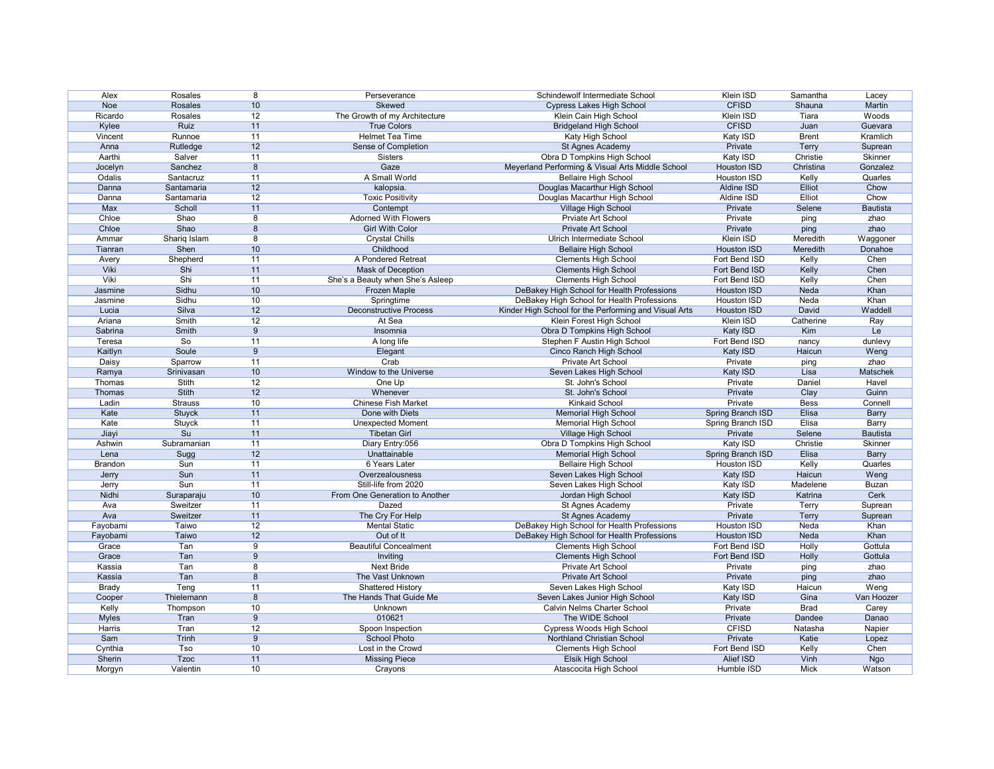| Alex           | Rosales        | 8  | Perseverance                     | Schindewolf Intermediate School                       | Klein ISD          | Samantha      | Lacey           |
|----------------|----------------|----|----------------------------------|-------------------------------------------------------|--------------------|---------------|-----------------|
| <b>Noe</b>     | Rosales        | 10 | <b>Skewed</b>                    | <b>Cypress Lakes High School</b>                      | <b>CFISD</b>       | Shauna        | Martin          |
| Ricardo        | Rosales        | 12 | The Growth of my Architecture    | Klein Cain High School                                | Klein ISD          | Tiara         | Woods           |
| Kylee          | <b>Ruiz</b>    | 11 | <b>True Colors</b>               | <b>Bridgeland High School</b>                         | <b>CFISD</b>       | Juan          | Guevara         |
| Vincent        | Runnoe         | 11 | <b>Helmet Tea Time</b>           | Katy High School                                      | Katy ISD           | <b>Brent</b>  | Kramlich        |
| Anna           | Rutledge       | 12 | Sense of Completion              | St Agnes Academy                                      | Private            | Terry         | Suprean         |
| Aarthi         | Salver         | 11 | <b>Sisters</b>                   | Obra D Tompkins High School                           | Katy ISD           | Christie      | Skinner         |
| Jocelyn        | Sanchez        | 8  | Gaze                             | Meyerland Performing & Visual Arts Middle School      | <b>Houston ISD</b> | Christina     | Gonzalez        |
| Odalis         | Santacruz      | 11 | A Small World                    | <b>Bellaire High School</b>                           | Houston ISD        | Kelly         | Quarles         |
| Danna          | Santamaria     | 12 | kalopsia.                        | Douglas Macarthur High School                         | Aldine ISD         | Elliot        | Chow            |
| Danna          | Santamaria     | 12 | <b>Toxic Positivity</b>          | Douglas Macarthur High School                         | Aldine ISD         | <b>Elliot</b> | Chow            |
|                |                |    |                                  |                                                       |                    |               |                 |
| Max            | Scholl         | 11 | Contempt                         | Village High School                                   | Private            | Selene        | <b>Bautista</b> |
| Chloe          | Shao           | 8  | <b>Adorned With Flowers</b>      | Prviate Art School                                    | Private            | ping          | zhao            |
| Chloe          | Shao           | 8  | <b>Girl With Color</b>           | Private Art School                                    | Private            | ping          | zhao            |
| Ammar          | Shariq Islam   | 8  | <b>Crystal Chills</b>            | Ulrich Intermediate School                            | Klein ISD          | Meredith      | Waggoner        |
| Tianran        | Shen           | 10 | Childhood                        | <b>Bellaire High School</b>                           | <b>Houston ISD</b> | Meredith      | Donahoe         |
| Avery          | Shepherd       | 11 | A Pondered Retreat               | <b>Clements High School</b>                           | Fort Bend ISD      | Kelly         | Chen            |
| Viki           | Shi            | 11 | Mask of Deception                | <b>Clements High School</b>                           | Fort Bend ISD      | Kelly         | Chen            |
| Viki           | Shi            | 11 | She's a Beauty when She's Asleep | <b>Clements High School</b>                           | Fort Bend ISD      | Kelly         | Chen            |
| Jasmine        | Sidhu          | 10 | Frozen Maple                     | DeBakey High School for Health Professions            | <b>Houston ISD</b> | Neda          | Khan            |
| Jasmine        | Sidhu          | 10 | Springtime                       | DeBakey High School for Health Professions            | <b>Houston ISD</b> | Neda          | Khan            |
| Lucia          | Silva          | 12 | <b>Deconstructive Process</b>    | Kinder High School for the Performing and Visual Arts | <b>Houston ISD</b> | David         | Waddell         |
| Ariana         | <b>Smith</b>   | 12 | At Sea                           | Klein Forest High School                              | Klein ISD          | Catherine     | Ray             |
| Sabrina        | Smith          | 9  | Insomnia                         | Obra D Tompkins High School                           | Katy ISD           | Kim           | Le              |
| Teresa         | So             | 11 | A long life                      | Stephen F Austin High School                          | Fort Bend ISD      | nancy         | dunlevy         |
| Kaitlyn        | Soule          | 9  | Elegant                          | Cinco Ranch High School                               | Katy ISD           | Haicun        | Weng            |
| Daisy          | Sparrow        | 11 | Crab                             | Private Art School                                    | Private            | ping          | zhao            |
| Ramya          | Srinivasan     | 10 | Window to the Universe           | Seven Lakes High School                               | Katy ISD           | Lisa          | Matschek        |
| Thomas         | Stith          | 12 | One Up                           | St. John's School                                     | Private            | Daniel        | Havel           |
|                | <b>Stith</b>   | 12 | Whenever                         | St. John's School                                     | Private            | Clay          | Guinn           |
| Thomas         |                |    |                                  |                                                       |                    |               |                 |
| Ladin          | <b>Strauss</b> | 10 | <b>Chinese Fish Market</b>       | Kinkaid School                                        | Private            | <b>Bess</b>   | Connell         |
| Kate           | <b>Stuyck</b>  | 11 | Done with Diets                  | <b>Memorial High School</b>                           | Spring Branch ISD  | Elisa         | <b>Barry</b>    |
| Kate           | Stuyck         | 11 | <b>Unexpected Moment</b>         | <b>Memorial High School</b>                           | Spring Branch ISD  | Elisa         | <b>Barry</b>    |
| Jiayi          | Su             | 11 | <b>Tibetan Girl</b>              | Village High School                                   | Private            | Selene        | <b>Bautista</b> |
| Ashwin         | Subramanian    | 11 | Diary Entry:056                  | Obra D Tompkins High School                           | Katy ISD           | Christie      | Skinner         |
| Lena           | Sugg           | 12 | Unattainable                     | <b>Memorial High School</b>                           | Spring Branch ISD  | Elisa         | <b>Barry</b>    |
| <b>Brandon</b> | Sun            | 11 | 6 Years Later                    | <b>Bellaire High School</b>                           | Houston ISD        | Kelly         | Quarles         |
| Jerry          | Sun            | 11 | Overzealousness                  | Seven Lakes High School                               | Katy ISD           | Haicun        | Weng            |
| Jerry          | Sun            | 11 | Still-life from 2020             | Seven Lakes High School                               | Katy ISD           | Madelene      | <b>Buzan</b>    |
| Nidhi          | Suraparaju     | 10 | From One Generation to Another   | Jordan High School                                    | Katy ISD           | Katrina       | Cerk            |
| Ava            | Sweitzer       | 11 | Dazed                            | St Agnes Academy                                      | Private            | Terry         | Suprean         |
| Ava            | Sweitzer       | 11 | The Cry For Help                 | St Agnes Academy                                      | Private            | <b>Terry</b>  | Suprean         |
| Fayobami       | Taiwo          | 12 | <b>Mental Static</b>             | DeBakey High School for Health Professions            | <b>Houston ISD</b> | Neda          | Khan            |
| Fayobami       | Taiwo          | 12 | Out of It                        | DeBakey High School for Health Professions            | <b>Houston ISD</b> | Neda          | Khan            |
| Grace          | Tan            | 9  | <b>Beautiful Concealment</b>     | <b>Clements High School</b>                           | Fort Bend ISD      | Holly         | Gottula         |
| Grace          | Tan            | 9  | Inviting                         | <b>Clements High School</b>                           | Fort Bend ISD      | Holly         | Gottula         |
| Kassia         | Tan            | 8  | Next Bride                       | Private Art School                                    | Private            |               | zhao            |
| Kassia         | Tan            | 8  | The Vast Unknown                 | Private Art School                                    | Private            | ping          | zhao            |
|                |                |    |                                  |                                                       |                    | ping          |                 |
| <b>Brady</b>   | Teng           | 11 | <b>Shattered History</b>         | Seven Lakes High School                               | Katy ISD           | Haicun        | Weng            |
| Cooper         | Thielemann     | 8  | The Hands That Guide Me          | Seven Lakes Junior High School                        | Katy ISD           | Gina          | Van Hoozer      |
| Kelly          | Thompson       | 10 | Unknown                          | Calvin Nelms Charter School                           | Private            | <b>Brad</b>   | Carey           |
| <b>Myles</b>   | Tran           | 9  | 010621                           | The WIDE School                                       | Private            | Dandee        | Danao           |
| Harris         | Tran           | 12 | Spoon Inspection                 | Cypress Woods High School                             | <b>CFISD</b>       | Natasha       | Napier          |
| Sam            | Trinh          | 9  | <b>School Photo</b>              | Northland Christian School                            | Private            | Katie         | Lopez           |
| Cynthia        | Tso            | 10 | Lost in the Crowd                | <b>Clements High School</b>                           | Fort Bend ISD      | Kelly         | Chen            |
| Sherin         | <b>Tzoc</b>    | 11 | <b>Missing Piece</b>             | Elsik High School                                     | Alief ISD          | Vinh          | Ngo             |
| Morgyn         | Valentin       | 10 | Crayons                          | Atascocita High School                                | Humble ISD         | Mick          | Watson          |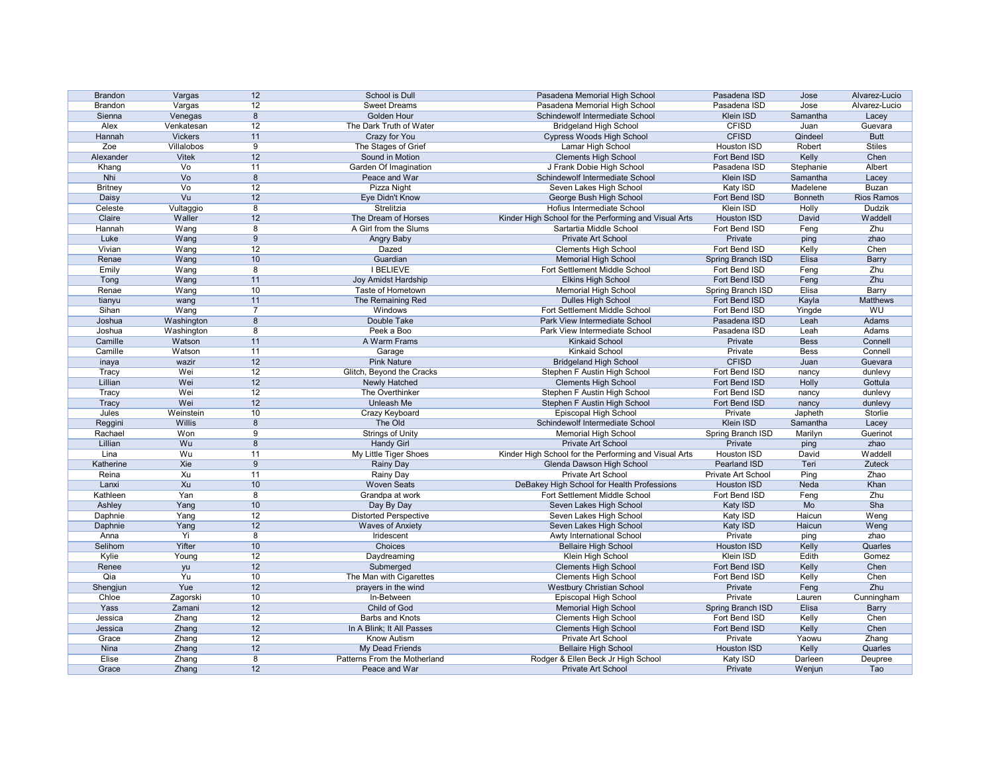| <b>Brandon</b> | Vargas               | 12             | School is Dull               | Pasadena Memorial High School                         | Pasadena ISD       | Jose           | Alvarez-Lucio     |
|----------------|----------------------|----------------|------------------------------|-------------------------------------------------------|--------------------|----------------|-------------------|
| <b>Brandon</b> | Vargas               | 12             | <b>Sweet Dreams</b>          | Pasadena Memorial High School                         | Pasadena ISD       | Jose           | Alvarez-Lucio     |
| Sienna         | Venegas              | 8              | Golden Hour                  | Schindewolf Intermediate School                       | Klein ISD          | Samantha       | Lacey             |
| Alex           | Venkatesan           | 12             | The Dark Truth of Water      | <b>Bridgeland High School</b>                         | <b>CFISD</b>       | Juan           | Guevara           |
| Hannah         | <b>Vickers</b>       | 11             | Crazy for You                | <b>Cypress Woods High School</b>                      | <b>CFISD</b>       | Qindeel        | <b>Butt</b>       |
| Zoe            | Villalobos           | 9              | The Stages of Grief          | Lamar High School                                     | <b>Houston ISD</b> | Robert         | <b>Stiles</b>     |
| Alexander      | <b>Vitek</b>         | 12             | Sound in Motion              | <b>Clements High School</b>                           | Fort Bend ISD      | Kelly          | Chen              |
| Khang          | Vo                   | 11             | Garden Of Imagination        | J Frank Dobie High School                             | Pasadena ISD       | Stephanie      | Albert            |
| <b>Nhi</b>     | V <sub>O</sub>       | 8              | Peace and War                | Schindewolf Intermediate School                       | <b>Klein ISD</b>   | Samantha       | Lacey             |
| <b>Britney</b> | Vo                   | 12             | Pizza Night                  | Seven Lakes High School                               | Katy ISD           | Madelene       | <b>Buzan</b>      |
| Daisy          | V <sub>u</sub>       | 12             | Eye Didn't Know              | George Bush High School                               | Fort Bend ISD      | <b>Bonneth</b> | <b>Rios Ramos</b> |
| Celeste        | Vultaggio            | 8              | Strelitzia                   | Hofius Intermediate School                            | Klein ISD          | Holly          | Dudzik            |
| Claire         | Waller               | 12             | The Dream of Horses          | Kinder High School for the Performing and Visual Arts | <b>Houston ISD</b> | David          | Waddell           |
| Hannah         | Wang                 | 8              | A Girl from the Slums        | Sartartia Middle School                               | Fort Bend ISD      | Feng           | Zhu               |
| Luke           | Wang                 | 9              | Angry Baby                   | Private Art School                                    | Private            | ping           | zhao              |
| Vivian         | Wang                 | 12             | Dazed                        | <b>Clements High School</b>                           | Fort Bend ISD      | Kelly          | Chen              |
| Renae          | Wang                 | 10             | Guardian                     | <b>Memorial High School</b>                           | Spring Branch ISD  | Elisa          | <b>Barry</b>      |
| Emily          | Wang                 | 8              | <b>I BELIEVE</b>             | Fort Settlement Middle School                         | Fort Bend ISD      | Feng           | Zhu               |
| Tong           | Wang                 | 11             | Joy Amidst Hardship          | <b>Elkins High School</b>                             | Fort Bend ISD      | Feng           | Zhu               |
| Renae          | Wang                 | 10             | Taste of Hometown            | <b>Memorial High School</b>                           | Spring Branch ISD  | Elisa          | Barry             |
| tianyu         | wang                 | 11             | The Remaining Red            | Dulles High School                                    | Fort Bend ISD      | Kayla          | Matthews          |
| Sihan          | Wang                 | $\overline{7}$ | Windows                      | Fort Settlement Middle School                         | Fort Bend ISD      | Yingde         | WU                |
| Joshua         | Washington           | 8              | Double Take                  | Park View Intermediate School                         | Pasadena ISD       | Leah           | Adams             |
| Joshua         |                      | 8              | Peek a Boo                   | Park View Intermediate School                         | Pasadena ISD       | Leah           | Adams             |
| Camille        | Washington<br>Watson | 11             | A Warm Frams                 | <b>Kinkaid School</b>                                 | Private            | <b>Bess</b>    | Connell           |
| Camille        | Watson               | 11             |                              | Kinkaid School                                        | Private            |                | Connell           |
|                |                      |                | Garage<br><b>Pink Nature</b> |                                                       | <b>CFISD</b>       | <b>Bess</b>    |                   |
| inaya          | wazir                | 12             |                              | <b>Bridgeland High School</b>                         |                    | Juan           | Guevara           |
| Tracy          | Wei                  | 12             | Glitch, Beyond the Cracks    | Stephen F Austin High School                          | Fort Bend ISD      | nancy          | dunlevy           |
| Lillian        | Wei                  | 12             | Newly Hatched                | <b>Clements High School</b>                           | Fort Bend ISD      | Holly          | Gottula           |
| <b>Tracy</b>   | Wei                  | 12             | The Overthinker              | Stephen F Austin High School                          | Fort Bend ISD      | nancy          | dunlevy           |
| <b>Tracy</b>   | Wei                  | 12             | Unleash Me                   | Stephen F Austin High School                          | Fort Bend ISD      | nancy          | dunlevy           |
| Jules          | Weinstein            | 10             | Crazy Keyboard               | Episcopal High School                                 | Private            | Japheth        | Storlie           |
| Reggini        | Willis               | 8              | The Old                      | Schindewolf Intermediate School                       | Klein ISD          | Samantha       | Lacey             |
| Rachael        | Won                  | 9              | <b>Strings of Unity</b>      | <b>Memorial High School</b>                           | Spring Branch ISD  | Marilyn        | Guerinot          |
| Lillian        | Wu                   | 8              | <b>Handy Girl</b>            | <b>Private Art School</b>                             | Private            | ping           | zhao              |
| Lina           | Wu                   | 11             | My Little Tiger Shoes        | Kinder High School for the Performing and Visual Arts | Houston ISD        | David          | Waddell           |
| Katherine      | Xie                  | 9              | <b>Rainy Day</b>             | Glenda Dawson High School                             | Pearland ISD       | Teri           | Zuteck            |
| Reina          | Xu                   | 11             | <b>Rainy Day</b>             | Private Art School                                    | Private Art School | Ping           | Zhao              |
| Lanxi          | Xu                   | 10             | <b>Woven Seats</b>           | DeBakey High School for Health Professions            | <b>Houston ISD</b> | Neda           | Khan              |
| Kathleen       | Yan                  | 8              | Grandpa at work              | Fort Settlement Middle School                         | Fort Bend ISD      | Feng           | Zhu               |
| Ashley         | Yang                 | 10             | Day By Day                   | Seven Lakes High School                               | Katy ISD           | Mo             | Sha               |
| Daphnie        | Yang                 | 12             | <b>Distorted Perspective</b> | Seven Lakes High School                               | Katy ISD           | Haicun         | Weng              |
| Daphnie        | Yang                 | 12             | <b>Waves of Anxiety</b>      | Seven Lakes High School                               | Katy ISD           | Haicun         | Weng              |
| Anna           | Yi                   | 8              | Iridescent                   | Awty International School                             | Private            | ping           | zhao              |
| Selihom        | Yifter               | 10             | Choices                      | <b>Bellaire High School</b>                           | <b>Houston ISD</b> | Kelly          | Quarles           |
| Kylie          | Young                | 12             | Daydreaming                  | Klein High School                                     | Klein ISD          | Edith          | Gomez             |
| Renee          | yu                   | 12             | Submerged                    | <b>Clements High School</b>                           | Fort Bend ISD      | Kelly          | Chen              |
| Qia            | Yu                   | 10             | The Man with Cigarettes      | <b>Clements High School</b>                           | Fort Bend ISD      | Kelly          | Chen              |
| Shengjun       | Yue                  | 12             | prayers in the wind          | <b>Westbury Christian School</b>                      | Private            | Feng           | Zhu               |
| Chloe          | Zagorski             | 10             | In-Between                   | Episcopal High School                                 | Private            | Lauren         | Cunningham        |
| Yass           | Zamani               | 12             | Child of God                 | <b>Memorial High School</b>                           | Spring Branch ISD  | Elisa          | <b>Barry</b>      |
| Jessica        | Zhang                | 12             | <b>Barbs and Knots</b>       | <b>Clements High School</b>                           | Fort Bend ISD      | Kelly          | Chen              |
| Jessica        | Zhang                | 12             | In A Blink; It All Passes    | <b>Clements High School</b>                           | Fort Bend ISD      | Kelly          | Chen              |
| Grace          | Zhang                | 12             | <b>Know Autism</b>           | Private Art School                                    | Private            | Yaowu          | Zhang             |
| Nina           | Zhang                | 12             | <b>My Dead Friends</b>       | <b>Bellaire High School</b>                           | <b>Houston ISD</b> | Kelly          | Quarles           |
| <b>Elise</b>   | Zhang                | 8              | Patterns From the Motherland | Rodger & Ellen Beck Jr High School                    | Katy ISD           | Darleen        | Deupree           |
|                |                      |                |                              |                                                       |                    |                |                   |